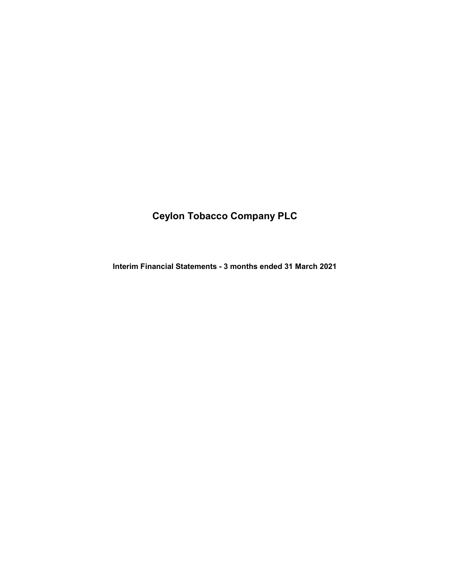# Ceylon Tobacco Company PLC

Interim Financial Statements - 3 months ended 31 March 2021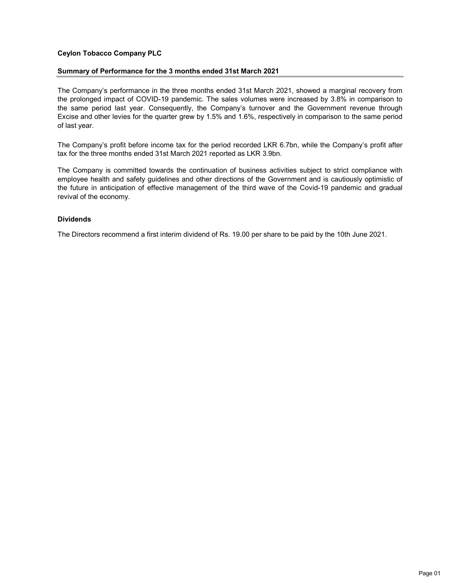# Ceylon Tobacco Company PLC

## Summary of Performance for the 3 months ended 31st March 2021

The Company's performance in the three months ended 31st March 2021, showed a marginal recovery from the prolonged impact of COVID-19 pandemic. The sales volumes were increased by 3.8% in comparison to the same period last year. Consequently, the Company's turnover and the Government revenue through Excise and other levies for the quarter grew by 1.5% and 1.6%, respectively in comparison to the same period of last year.

The Company's profit before income tax for the period recorded LKR 6.7bn, while the Company's profit after tax for the three months ended 31st March 2021 reported as LKR 3.9bn.

The Company is committed towards the continuation of business activities subject to strict compliance with employee health and safety guidelines and other directions of the Government and is cautiously optimistic of the future in anticipation of effective management of the third wave of the Covid-19 pandemic and gradual revival of the economy.

## Dividends

The Directors recommend a first interim dividend of Rs. 19.00 per share to be paid by the 10th June 2021.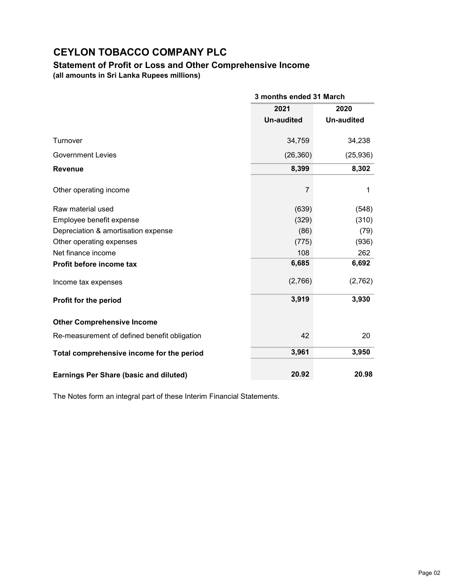# Statement of Profit or Loss and Other Comprehensive Income (all amounts in Sri Lanka Rupees millions)

|                                               |                   | 3 months ended 31 March |  |  |
|-----------------------------------------------|-------------------|-------------------------|--|--|
|                                               | 2021              | 2020                    |  |  |
|                                               | <b>Un-audited</b> | <b>Un-audited</b>       |  |  |
| Turnover                                      | 34,759            | 34,238                  |  |  |
| <b>Government Levies</b>                      | (26, 360)         | (25, 936)               |  |  |
| <b>Revenue</b>                                | 8,399             | 8,302                   |  |  |
| Other operating income                        | 7                 | 1                       |  |  |
| Raw material used                             | (639)             | (548)                   |  |  |
| Employee benefit expense                      | (329)             | (310)                   |  |  |
| Depreciation & amortisation expense           | (86)              | (79)                    |  |  |
| Other operating expenses                      | (775)             | (936)                   |  |  |
| Net finance income                            | 108               | 262                     |  |  |
| Profit before income tax                      | 6,685             | 6,692                   |  |  |
| Income tax expenses                           | (2,766)           | (2,762)                 |  |  |
| Profit for the period                         | 3,919             | 3,930                   |  |  |
| <b>Other Comprehensive Income</b>             |                   |                         |  |  |
| Re-measurement of defined benefit obligation  | 42                | 20                      |  |  |
| Total comprehensive income for the period     | 3,961             | 3,950                   |  |  |
| <b>Earnings Per Share (basic and diluted)</b> | 20.92             | 20.98                   |  |  |

The Notes form an integral part of these Interim Financial Statements.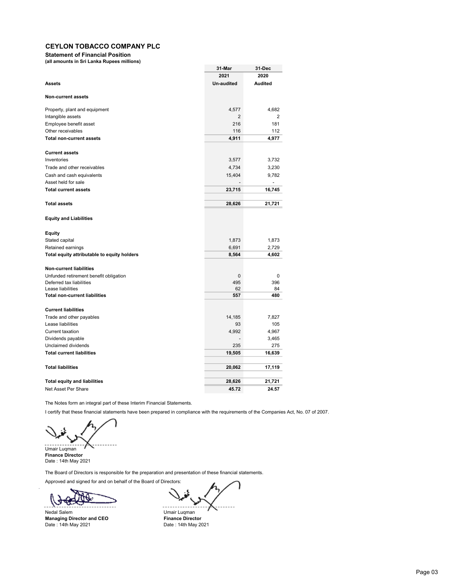Statement of Financial Position

(all amounts in Sri Lanka Rupees millions)

|                                             | 31-Mar            | 31-Dec         |
|---------------------------------------------|-------------------|----------------|
|                                             | 2021              | 2020           |
| <b>Assets</b>                               | <b>Un-audited</b> | <b>Audited</b> |
|                                             |                   |                |
| <b>Non-current assets</b>                   |                   |                |
| Property, plant and equipment               | 4,577             | 4,682          |
| Intangible assets                           | 2                 | 2              |
| Employee benefit asset                      | 216               | 181            |
| Other receivables                           | 116               | 112            |
| <b>Total non-current assets</b>             | 4,911             | 4,977          |
| <b>Current assets</b>                       |                   |                |
| Inventories                                 | 3,577             | 3,732          |
| Trade and other receivables                 | 4,734             | 3,230          |
| Cash and cash equivalents                   | 15,404            | 9,782          |
| Asset held for sale                         |                   | $\overline{a}$ |
| <b>Total current assets</b>                 | 23,715            | 16,745         |
|                                             |                   |                |
| <b>Total assets</b>                         | 28,626            | 21,721         |
|                                             |                   |                |
| <b>Equity and Liabilities</b>               |                   |                |
| <b>Equity</b>                               |                   |                |
| Stated capital                              | 1,873             | 1,873          |
| Retained earnings                           | 6,691             | 2,729          |
| Total equity attributable to equity holders | 8,564             | 4,602          |
| <b>Non-current liabilities</b>              |                   |                |
| Unfunded retirement benefit obligation      | $\mathbf{0}$      | 0              |
| Deferred tax liabilities                    | 495               | 396            |
| Lease liabilities                           | 62                | 84             |
| <b>Total non-current liabilities</b>        | 557               | 480            |
| <b>Current liabilities</b>                  |                   |                |
| Trade and other payables                    | 14,185            | 7,827          |
| Lease liabilities                           | 93                | 105            |
| <b>Current taxation</b>                     | 4,992             | 4,967          |
| Dividends payable                           |                   | 3,465          |
| Unclaimed dividends                         | 235               | 275            |
| <b>Total current liabilities</b>            | 19,505            | 16,639         |
|                                             |                   |                |
| <b>Total liabilities</b>                    | 20,062            | 17,119         |
| <b>Total equity and liabilities</b>         | 28,626            | 21,721         |
| Net Asset Per Share                         |                   |                |
|                                             | 45.72             | 24.57          |

The Notes form an integral part of these Interim Financial Statements.

I certify that these financial statements have been prepared in compliance with the requirements of the Companies Act, No. 07 of 2007.

Umair Luqman

Finance Director Date : 14th May 2021

The Board of Directors is responsible for the preparation and presentation of these financial statements.

Approved and signed for and on behalf of the Board of Directors:

Nedal Salem Umair Luqman<br> **Managing Director and CEO** Tinance Director Managing Director and CEO Finance Director Date : 14th May 2021 Date : 14th May 2021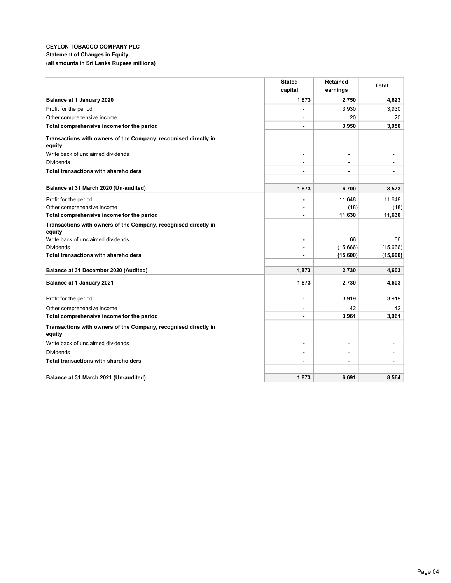### CEYLON TOBACCO COMPANY PLC Statement of Changes in Equity (all amounts in Sri Lanka Rupees millions)

|                                                                           | <b>Stated</b>  | <b>Retained</b> | <b>Total</b> |
|---------------------------------------------------------------------------|----------------|-----------------|--------------|
|                                                                           | capital        | earnings        |              |
| Balance at 1 January 2020                                                 | 1,873          | 2,750           | 4,623        |
| Profit for the period                                                     |                | 3,930           | 3,930        |
| Other comprehensive income                                                |                | 20              | 20           |
| Total comprehensive income for the period                                 |                | 3,950           | 3,950        |
| Transactions with owners of the Company, recognised directly in           |                |                 |              |
| equity                                                                    |                |                 |              |
| Write back of unclaimed dividends                                         |                |                 |              |
| <b>Dividends</b>                                                          |                |                 |              |
| <b>Total transactions with shareholders</b>                               |                |                 |              |
|                                                                           |                |                 |              |
| Balance at 31 March 2020 (Un-audited)                                     | 1,873          | 6,700           | 8,573        |
| Profit for the period                                                     |                | 11,648          | 11,648       |
| Other comprehensive income                                                |                | (18)            | (18)         |
| Total comprehensive income for the period                                 | $\blacksquare$ | 11,630          | 11,630       |
| Transactions with owners of the Company, recognised directly in           |                |                 |              |
| equity                                                                    |                |                 |              |
| Write back of unclaimed dividends                                         | $\blacksquare$ | 66              | 66           |
| <b>Dividends</b>                                                          | $\blacksquare$ | (15,666)        | (15,666)     |
| <b>Total transactions with shareholders</b>                               |                | (15,600)        | (15,600)     |
|                                                                           |                |                 |              |
| Balance at 31 December 2020 (Audited)                                     | 1,873          | 2,730           | 4,603        |
| Balance at 1 January 2021                                                 | 1,873          | 2,730           | 4,603        |
| Profit for the period                                                     |                | 3,919           | 3,919        |
| Other comprehensive income                                                |                | 42              | 42           |
| Total comprehensive income for the period                                 |                | 3,961           | 3,961        |
|                                                                           |                |                 |              |
| Transactions with owners of the Company, recognised directly in<br>equity |                |                 |              |
| Write back of unclaimed dividends                                         |                |                 |              |
| <b>Dividends</b>                                                          |                |                 |              |
| <b>Total transactions with shareholders</b>                               |                |                 |              |
|                                                                           |                |                 |              |
| Balance at 31 March 2021 (Un-audited)                                     | 1,873          | 6,691           | 8,564        |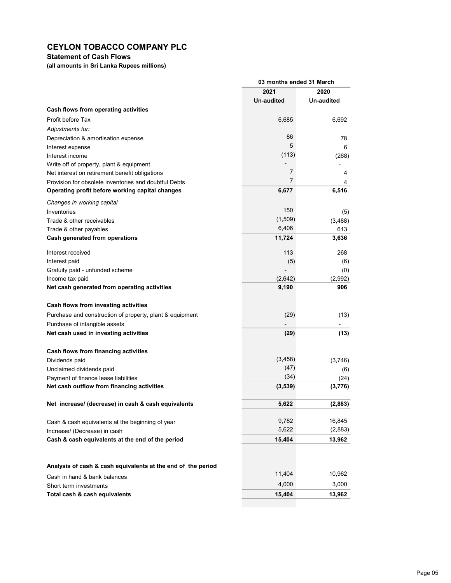# Statement of Cash Flows

(all amounts in Sri Lanka Rupees millions)

|                                                                  | 03 months ended 31 March |             |  |
|------------------------------------------------------------------|--------------------------|-------------|--|
|                                                                  | 2021                     | 2020        |  |
|                                                                  | Un-audited               | Un-audited  |  |
| Cash flows from operating activities                             |                          |             |  |
| Profit before Tax                                                | 6,685                    | 6,692       |  |
| Adjustments for:                                                 |                          |             |  |
| Depreciation & amortisation expense                              | 86                       | 78          |  |
| Interest expense                                                 | 5                        | 6           |  |
| Interest income                                                  | (113)                    | (268)       |  |
| Write off of property, plant & equipment                         |                          |             |  |
| Net interest on retirement benefit obligations                   | 7                        | 4           |  |
| Provision for obsolete inventories and doubtful Debts            | 7                        | 4           |  |
| Operating profit before working capital changes                  | 6,677                    | 6,516       |  |
| Changes in working capital                                       |                          |             |  |
| Inventories                                                      | 150                      | (5)         |  |
| Trade & other receivables                                        | (1,509)                  | (3, 488)    |  |
| Trade & other payables                                           | 6,406                    | 613         |  |
| Cash generated from operations                                   | 11,724                   | 3,636       |  |
| Interest received                                                | 113                      | 268         |  |
| Interest paid                                                    | (5)                      | (6)         |  |
| Gratuity paid - unfunded scheme                                  |                          | (0)         |  |
| Income tax paid                                                  | (2,642)                  | (2,992)     |  |
| Net cash generated from operating activities                     | 9,190                    | 906         |  |
|                                                                  |                          |             |  |
| Cash flows from investing activities                             |                          |             |  |
| Purchase and construction of property, plant & equipment         | (29)                     | (13)        |  |
| Purchase of intangible assets                                    |                          |             |  |
| Net cash used in investing activities                            | (29)                     | (13)        |  |
|                                                                  |                          |             |  |
| Cash flows from financing activities                             | (3, 458)                 |             |  |
| Dividends paid                                                   | (47)                     | (3,746)     |  |
| Unclaimed dividends paid<br>Payment of finance lease liabilities | (34)                     | (6)<br>(24) |  |
| Net cash outflow from financing activities                       | (3, 539)                 | (3,776)     |  |
|                                                                  |                          |             |  |
| Net increase/ (decrease) in cash & cash equivalents              | 5,622                    | (2,883)     |  |
|                                                                  |                          |             |  |
| Cash & cash equivalents at the beginning of year                 | 9,782                    | 16,845      |  |
| Increase/ (Decrease) in cash                                     | 5,622                    | (2,883)     |  |
| Cash & cash equivalents at the end of the period                 | 15,404                   | 13,962      |  |
|                                                                  |                          |             |  |
|                                                                  |                          |             |  |
| Analysis of cash & cash equivalents at the end of the period     |                          |             |  |
| Cash in hand & bank balances                                     | 11,404                   | 10,962      |  |
| Short term investments                                           | 4,000                    | 3,000       |  |
| Total cash & cash equivalents                                    | 15,404                   | 13,962      |  |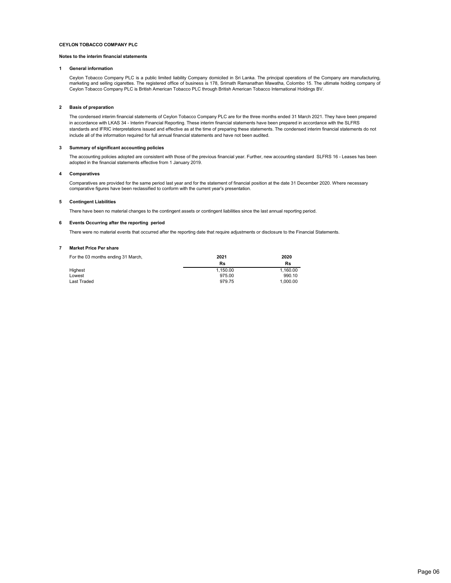#### Notes to the interim financial statements

#### 1 General information

Ceylon Tobacco Company PLC is a public limited liability Company domiciled in Sri Lanka. The principal operations of the Company are manufacturing, marketing and selling cigarettes. The registered office of business is 178, Srimath Ramanathan Mawatha, Colombo 15. The ultimate holding company of Ceylon Tobacco Company PLC is British American Tobacco PLC through British American Tobacco International Holdings BV.

#### 2 Basis of preparation

The condensed interim financial statements of Ceylon Tobacco Company PLC are for the three months ended 31 March 2021. They have been prepared in accordance with LKAS 34 - Interim Financial Reporting. These interim financial statements have been prepared in accordance with the SLFRS standards and IFRIC interpretations issued and effective as at the time of preparing these statements. The condensed interim financial statements do not include all of the information required for full annual financial statements and have not been audited.

#### 3 Summary of significant accounting policies

The accounting policies adopted are consistent with those of the previous financial year. Further, new accounting standard SLFRS 16 - Leases has been adopted in the financial statements effective from 1 January 2019.

#### 4 Comparatives

Comparatives are provided for the same period last year and for the statement of financial position at the date 31 December 2020. Where necessary comparative figures have been reclassified to conform with the current year's presentation.

#### 5 Contingent Liabilities

There have been no material changes to the contingent assets or contingent liabilities since the last annual reporting period.

#### 6 Events Occurring after the reporting period

There were no material events that occurred after the reporting date that require adjustments or disclosure to the Financial Statements.

#### 7 Market Price Per share

| For the 03 months ending 31 March, | 2021     | 2020     |
|------------------------------------|----------|----------|
|                                    | Rs       | Rs       |
| Highest                            | 1.150.00 | 1.160.00 |
| Lowest                             | 975.00   | 990.10   |
| Last Traded                        | 979.75   | 1.000.00 |